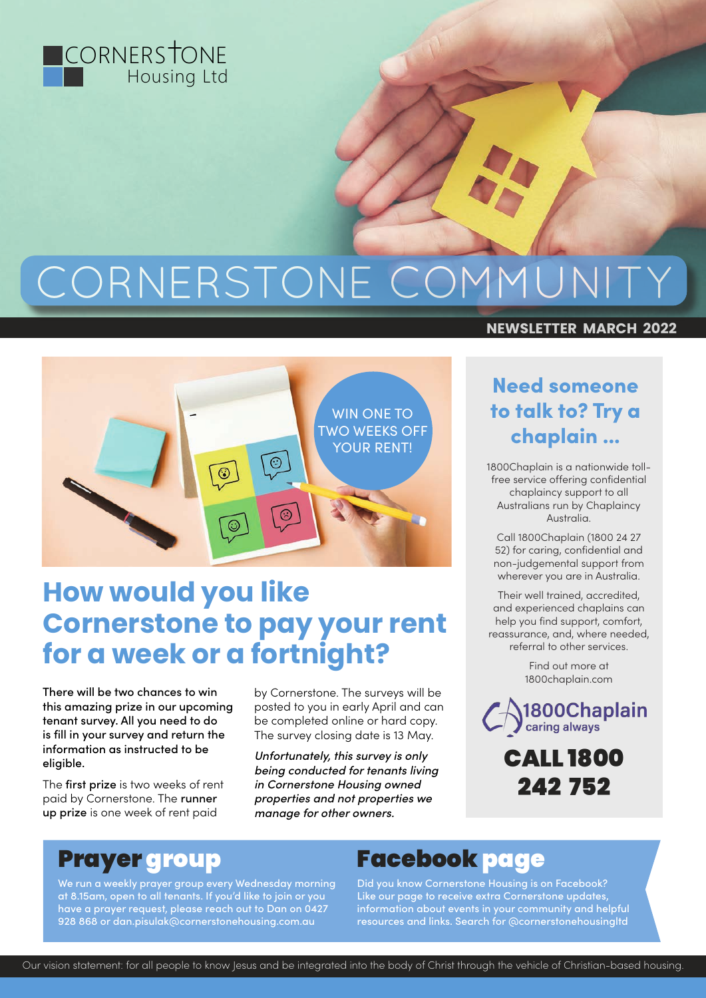

# CORNERSTONE COMMUNITY



## **How would you like Cornerstone to pay your rent for a week or a fortnight?**

There will be two chances to win this amazing prize in our upcoming tenant survey. All you need to do is fill in your survey and return the information as instructed to be eligible.

The first prize is two weeks of rent paid by Cornerstone. The runner up prize is one week of rent paid

by Cornerstone. The surveys will be posted to you in early April and can be completed online or hard copy. The survey closing date is 13 May.

*Unfortunately, this survey is only being conducted for tenants living in Cornerstone Housing owned properties and not properties we manage for other owners.*

#### **NEWSLETTER MARCH 2022**

#### Need someone to talk to? Try a chaplain ...

1800Chaplain is a nationwide tollfree service offering confidential chaplaincy support to all Australians run by Chaplaincy Australia.

Call 1800Chaplain (1800 24 27 52) for caring, confidential and non-judgemental support from wherever you are in Australia.

Their well trained, accredited, and experienced chaplains can help you find support, comfort, reassurance, and, where needed, referral to other services.

> Find out more at 1800chaplain.com

1800Chaplain caring always

> CALL 1800 242 752

## Prayer group

We run a weekly prayer group every Wednesday morning at 8.15am, open to all tenants. If you'd like to join or you have a prayer request, please reach out to Dan on 0427 928 868 or dan.pisulak@cornerstonehousing.com.au

## Facebook page

Did you know Cornerstone Housing is on Facebook? Like our page to receive extra Cornerstone updates, information about events in your community and helpful resources and links. Search for @cornerstonehousingltd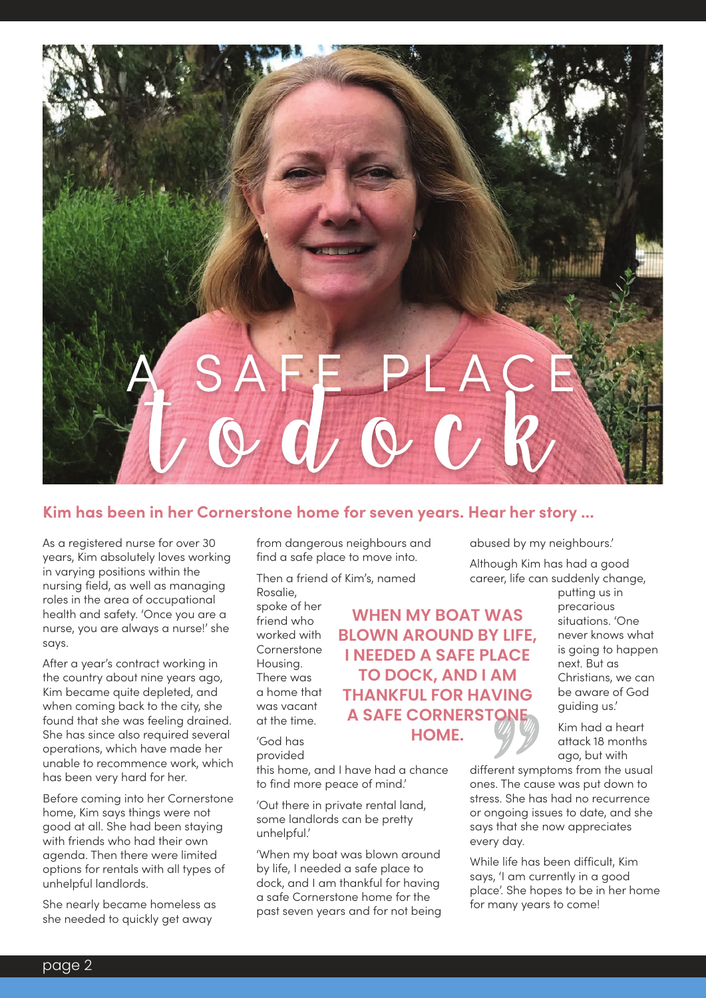

#### **Kim has been in her Cornerstone home for seven years. Hear her story ...**

As a registered nurse for over 30 years, Kim absolutely loves working in varying positions within the nursing field, as well as managing roles in the area of occupational health and safety. 'Once you are a nurse, you are always a nurse!' she says.

After a year's contract working in the country about nine years ago, Kim became quite depleted, and when coming back to the city, she found that she was feeling drained. She has since also required several operations, which have made her unable to recommence work, which has been very hard for her.

Before coming into her Cornerstone home, Kim says things were not good at all. She had been staying with friends who had their own agenda. Then there were limited options for rentals with all types of unhelpful landlords.

She nearly became homeless as she needed to quickly get away

from dangerous neighbours and find a safe place to move into.

Then a friend of Kim's, named Rosalie,

this home, and I have had a chance

'When my boat was blown around by life, I needed a safe place to dock, and I am thankful for having a safe Cornerstone home for the past seven years and for not being

to find more peace of mind.' 'Out there in private rental land, some landlords can be pretty

spoke of her friend who worked with Cornerstone Housing. There was a home that was vacant at the time.

'God has provided

unhelpful.'

**WHEN MY BOAT WAS BLOWN AROUND BY LIFE, I NEEDED A SAFE PLACE TO DOCK, AND I AM THANKFUL FOR HAVING A SAFE CORNERSTONE HOME.**

abused by my neighbours.'

Although Kim has had a good career, life can suddenly change,

putting us in precarious situations. 'One never knows what is going to happen next. But as Christians, we can be aware of God guiding us.'

Kim had a heart attack 18 months ago, but with

different symptoms from the usual ones. The cause was put down to stress. She has had no recurrence or ongoing issues to date, and she says that she now appreciates every day.

While life has been difficult, Kim says, 'I am currently in a good place'. She hopes to be in her home for many years to come!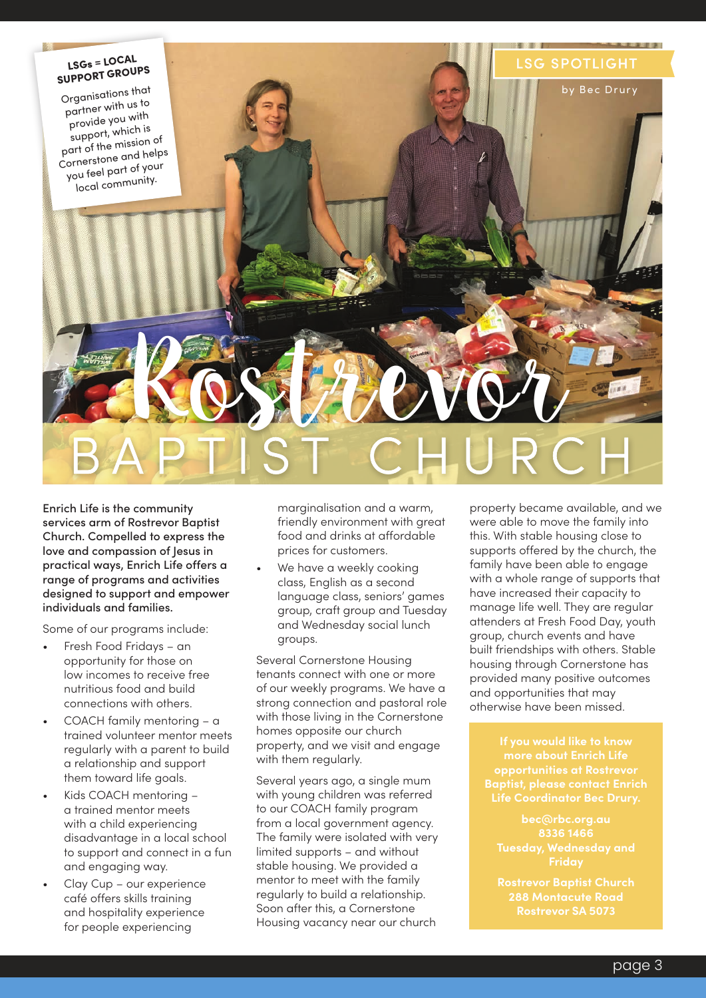

Enrich Life is the community services arm of Rostrevor Baptist Church. Compelled to express the love and compassion of Jesus in practical ways, Enrich Life offers a range of programs and activities designed to support and empower individuals and families.

Some of our programs include:

- Fresh Food Fridays an opportunity for those on low incomes to receive free nutritious food and build connections with others.
- COACH family mentoring a trained volunteer mentor meets regularly with a parent to build a relationship and support them toward life goals.
- Kids COACH mentoring a trained mentor meets with a child experiencing disadvantage in a local school to support and connect in a fun and engaging way.
- Clay Cup our experience café offers skills training and hospitality experience for people experiencing

marginalisation and a warm, friendly environment with great food and drinks at affordable prices for customers.

We have a weekly cooking class, English as a second language class, seniors' games group, craft group and Tuesday and Wednesday social lunch groups.

Several Cornerstone Housing tenants connect with one or more of our weekly programs. We have a strong connection and pastoral role with those living in the Cornerstone homes opposite our church property, and we visit and engage with them regularly.

Several years ago, a single mum with young children was referred to our COACH family program from a local government agency. The family were isolated with very limited supports – and without stable housing. We provided a mentor to meet with the family regularly to build a relationship. Soon after this, a Cornerstone Housing vacancy near our church

property became available, and we were able to move the family into this. With stable housing close to supports offered by the church, the family have been able to engage with a whole range of supports that have increased their capacity to manage life well. They are regular attenders at Fresh Food Day, youth group, church events and have built friendships with others. Stable housing through Cornerstone has provided many positive outcomes and opportunities that may otherwise have been missed.

**more about Enrich Life opportunities at Rostrevor** 

**288 Montacute Road**